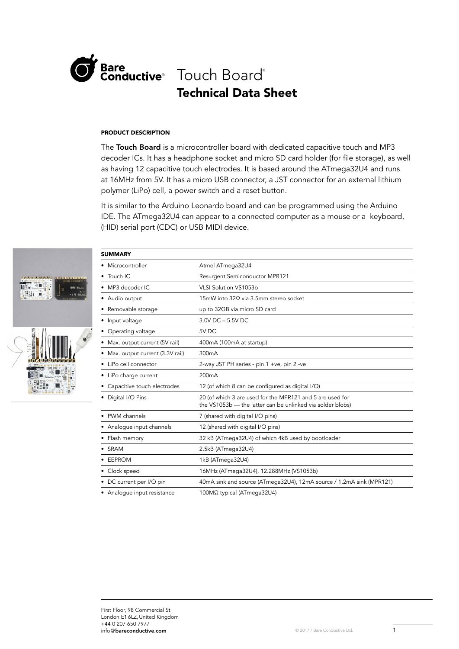

# Technical Data Sheet Bare<br>Conductive<sup>®</sup> Touch Board®

# PRODUCT DESCRIPTION

The Touch Board is a microcontroller board with dedicated capacitive touch and MP3 decoder ICs. It has a headphone socket and micro SD card holder (for file storage), as well as having 12 capacitive touch electrodes. It is based around the ATmega32U4 and runs at 16MHz from 5V. It has a micro USB connector, a JST connector for an external lithium polymer (LiPo) cell, a power switch and a reset button.

It is similar to the Arduino Leonardo board and can be programmed using the Arduino IDE. The ATmega32U4 can appear to a connected computer as a mouse or a keyboard, (HID) serial port (CDC) or USB MIDI device.



| <b>SUMMARY</b>                    |                                                                                                                         |  |
|-----------------------------------|-------------------------------------------------------------------------------------------------------------------------|--|
| • Microcontroller                 | Atmel ATmega32U4                                                                                                        |  |
| • Touch IC                        | Resurgent Semiconductor MPR121                                                                                          |  |
| • MP3 decoder IC                  | VLSI Solution VS1053b                                                                                                   |  |
| • Audio output                    | 15mW into 32Ω via 3.5mm stereo socket                                                                                   |  |
| • Removable storage               | up to 32GB via micro SD card                                                                                            |  |
| • Input voltage                   | $3.0V$ DC $-5.5V$ DC                                                                                                    |  |
| • Operating voltage               | 5V DC                                                                                                                   |  |
| • Max. output current (5V rail)   | 400mA (100mA at startup)                                                                                                |  |
| • Max. output current (3.3V rail) | 300mA                                                                                                                   |  |
| • LiPo cell connector             | 2-way JST PH series - pin 1 +ve, pin 2 -ve                                                                              |  |
| • LiPo charge current             | 200 <sub>m</sub> A                                                                                                      |  |
| • Capacitive touch electrodes     | 12 (of which 8 can be configured as digital I/O)                                                                        |  |
| • Digital I/O Pins                | 20 (of which 3 are used for the MPR121 and 5 are used for<br>the VS1053b - the latter can be unlinked via solder blobs) |  |
| • PWM channels                    | 7 (shared with digital I/O pins)                                                                                        |  |
| • Analogue input channels         | 12 (shared with digital I/O pins)                                                                                       |  |
| • Flash memory                    | 32 kB (ATmega32U4) of which 4kB used by bootloader                                                                      |  |
| • SRAM                            | 2.5kB (ATmega32U4)                                                                                                      |  |
| • EEPROM                          | 1kB (ATmega32U4)                                                                                                        |  |
| • Clock speed                     | 16MHz (ATmega32U4), 12.288MHz (VS1053b)                                                                                 |  |
| • DC current per I/O pin          | 40mA sink and source (ATmega32U4), 12mA source / 1.2mA sink (MPR121)                                                    |  |
| • Analoque input resistance       | 100MΩ typical (ATmega32U4)                                                                                              |  |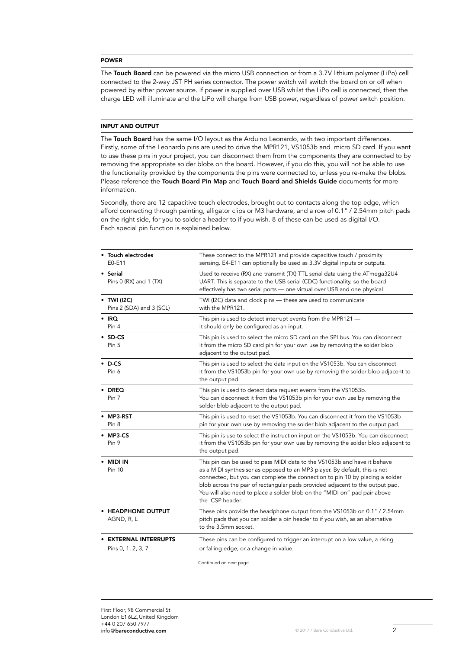#### POWER

The Touch Board can be powered via the micro USB connection or from a 3.7V lithium polymer (LiPo) cell connected to the 2-way JST PH series connector. The power switch will switch the board on or off when powered by either power source. If power is supplied over USB whilst the LiPo cell is connected, then the charge LED will illuminate and the LiPo will charge from USB power, regardless of power switch position.

## INPUT AND OUTPUT

The Touch Board has the same I/O layout as the Arduino Leonardo, with two important differences. Firstly, some of the Leonardo pins are used to drive the MPR121, VS1053b and micro SD card. If you want to use these pins in your project, you can disconnect them from the components they are connected to by removing the appropriate solder blobs on the board. However, if you do this, you will not be able to use the functionality provided by the components the pins were connected to, unless you re-make the blobs. Please reference the Touch Board Pin Map and Touch Board and Shields Guide documents for more information.

Secondly, there are 12 capacitive touch electrodes, brought out to contacts along the top edge, which afford connecting through painting, alligator clips or M3 hardware, and a row of 0.1" / 2.54mm pitch pads on the right side, for you to solder a header to if you wish. 8 of these can be used as digital I/O. Each special pin function is explained below.

| • Touch electrodes<br>E0-E11                    | These connect to the MPR121 and provide capacitive touch / proximity<br>sensing. E4-E11 can optionally be used as 3.3V digital inputs or outputs.                                                                                                                                                                                                                                                                        |
|-------------------------------------------------|--------------------------------------------------------------------------------------------------------------------------------------------------------------------------------------------------------------------------------------------------------------------------------------------------------------------------------------------------------------------------------------------------------------------------|
| • Serial<br>Pins 0 (RX) and 1 (TX)              | Used to receive (RX) and transmit (TX) TTL serial data using the ATmega32U4<br>UART. This is separate to the USB serial (CDC) functionality, so the board<br>effectively has two serial ports - one virtual over USB and one physical.                                                                                                                                                                                   |
| $\bullet$ TWI (I2C)<br>Pins 2 (SDA) and 3 (SCL) | TWI (I2C) data and clock pins - these are used to communicate<br>with the MPR121.                                                                                                                                                                                                                                                                                                                                        |
| $\cdot$ IRQ<br>Pin 4                            | This pin is used to detect interrupt events from the MPR121 -<br>it should only be configured as an input.                                                                                                                                                                                                                                                                                                               |
| $\cdot$ SD-CS<br>Pin 5                          | This pin is used to select the micro SD card on the SPI bus. You can disconnect<br>it from the micro SD card pin for your own use by removing the solder blob<br>adjacent to the output pad.                                                                                                                                                                                                                             |
| $\bullet$ D-CS<br>Pin 6                         | This pin is used to select the data input on the VS1053b. You can disconnect<br>it from the VS1053b pin for your own use by removing the solder blob adjacent to<br>the output pad.                                                                                                                                                                                                                                      |
| $\cdot$ DREQ<br>Pin 7                           | This pin is used to detect data request events from the VS1053b.<br>You can disconnect it from the VS1053b pin for your own use by removing the<br>solder blob adjacent to the output pad.                                                                                                                                                                                                                               |
| MP3-RST<br>Pin <sub>8</sub>                     | This pin is used to reset the VS1053b. You can disconnect it from the VS1053b<br>pin for your own use by removing the solder blob adjacent to the output pad.                                                                                                                                                                                                                                                            |
| $\bullet$ MP3-CS<br>Pin 9                       | This pin is use to select the instruction input on the VS1053b. You can disconnect<br>it from the VS1053b pin for your own use by removing the solder blob adjacent to<br>the output pad.                                                                                                                                                                                                                                |
| <b>MIDI IN</b><br>Pin 10                        | This pin can be used to pass MIDI data to the VS1053b and have it behave<br>as a MIDI synthesiser as opposed to an MP3 player. By default, this is not<br>connected, but you can complete the connection to pin 10 by placing a solder<br>blob across the pair of rectangular pads provided adjacent to the output pad.<br>You will also need to place a solder blob on the "MIDI on" pad pair above<br>the ICSP header. |
| • HEADPHONE OUTPUT<br>AGND, R, L                | These pins provide the headphone output from the VS1053b on 0.1" / 2.54mm<br>pitch pads that you can solder a pin header to if you wish, as an alternative<br>to the 3.5mm socket.                                                                                                                                                                                                                                       |
| <b>EXTERNAL INTERRUPTS</b>                      | These pins can be configured to trigger an interrupt on a low value, a rising                                                                                                                                                                                                                                                                                                                                            |
| Pins 0, 1, 2, 3, 7                              | or falling edge, or a change in value.                                                                                                                                                                                                                                                                                                                                                                                   |

Continued on next page.